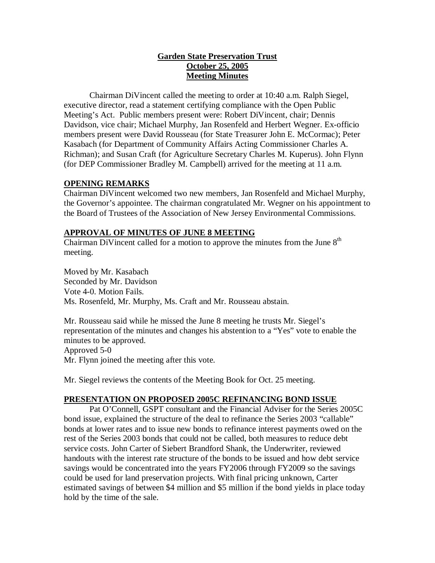# **Garden State Preservation Trust October 25, 2005 Meeting Minutes**

Chairman DiVincent called the meeting to order at 10:40 a.m. Ralph Siegel, executive director, read a statement certifying compliance with the Open Public Meeting's Act. Public members present were: Robert DiVincent, chair; Dennis Davidson, vice chair; Michael Murphy, Jan Rosenfeld and Herbert Wegner. Ex-officio members present were David Rousseau (for State Treasurer John E. McCormac); Peter Kasabach (for Department of Community Affairs Acting Commissioner Charles A. Richman); and Susan Craft (for Agriculture Secretary Charles M. Kuperus). John Flynn (for DEP Commissioner Bradley M. Campbell) arrived for the meeting at 11 a.m.

# **OPENING REMARKS**

Chairman DiVincent welcomed two new members, Jan Rosenfeld and Michael Murphy, the Governor's appointee. The chairman congratulated Mr. Wegner on his appointment to the Board of Trustees of the Association of New Jersey Environmental Commissions.

# **APPROVAL OF MINUTES OF JUNE 8 MEETING**

Chairman DiVincent called for a motion to approve the minutes from the June  $8<sup>th</sup>$ meeting.

Moved by Mr. Kasabach Seconded by Mr. Davidson Vote 4-0. Motion Fails. Ms. Rosenfeld, Mr. Murphy, Ms. Craft and Mr. Rousseau abstain.

Mr. Rousseau said while he missed the June 8 meeting he trusts Mr. Siegel's representation of the minutes and changes his abstention to a "Yes" vote to enable the minutes to be approved. Approved 5-0 Mr. Flynn joined the meeting after this vote.

Mr. Siegel reviews the contents of the Meeting Book for Oct. 25 meeting.

# **PRESENTATION ON PROPOSED 2005C REFINANCING BOND ISSUE**

Pat O'Connell, GSPT consultant and the Financial Adviser for the Series 2005C bond issue, explained the structure of the deal to refinance the Series 2003 "callable" bonds at lower rates and to issue new bonds to refinance interest payments owed on the rest of the Series 2003 bonds that could not be called, both measures to reduce debt service costs. John Carter of Siebert Brandford Shank, the Underwriter, reviewed handouts with the interest rate structure of the bonds to be issued and how debt service savings would be concentrated into the years FY2006 through FY2009 so the savings could be used for land preservation projects. With final pricing unknown, Carter estimated savings of between \$4 million and \$5 million if the bond yields in place today hold by the time of the sale.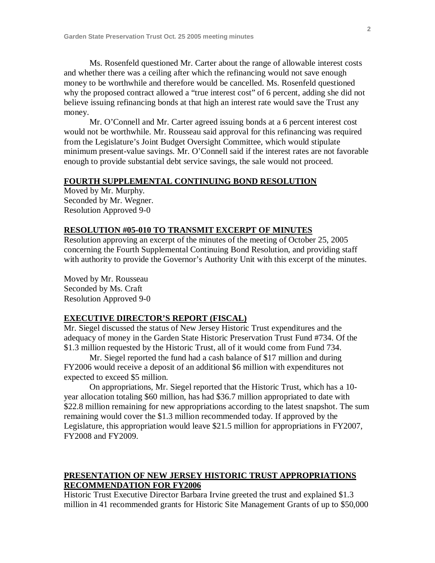Ms. Rosenfeld questioned Mr. Carter about the range of allowable interest costs and whether there was a ceiling after which the refinancing would not save enough money to be worthwhile and therefore would be cancelled. Ms. Rosenfeld questioned why the proposed contract allowed a "true interest cost" of 6 percent, adding she did not believe issuing refinancing bonds at that high an interest rate would save the Trust any money.

Mr. O'Connell and Mr. Carter agreed issuing bonds at a 6 percent interest cost would not be worthwhile. Mr. Rousseau said approval for this refinancing was required from the Legislature's Joint Budget Oversight Committee, which would stipulate minimum present-value savings. Mr. O'Connell said if the interest rates are not favorable enough to provide substantial debt service savings, the sale would not proceed.

## **FOURTH SUPPLEMENTAL CONTINUING BOND RESOLUTION**

Moved by Mr. Murphy. Seconded by Mr. Wegner. Resolution Approved 9-0

## **RESOLUTION #05-010 TO TRANSMIT EXCERPT OF MINUTES**

Resolution approving an excerpt of the minutes of the meeting of October 25, 2005 concerning the Fourth Supplemental Continuing Bond Resolution, and providing staff with authority to provide the Governor's Authority Unit with this excerpt of the minutes.

Moved by Mr. Rousseau Seconded by Ms. Craft Resolution Approved 9-0

# **EXECUTIVE DIRECTOR'S REPORT (FISCAL)**

Mr. Siegel discussed the status of New Jersey Historic Trust expenditures and the adequacy of money in the Garden State Historic Preservation Trust Fund #734. Of the \$1.3 million requested by the Historic Trust, all of it would come from Fund 734.

Mr. Siegel reported the fund had a cash balance of \$17 million and during FY2006 would receive a deposit of an additional \$6 million with expenditures not expected to exceed \$5 million.

On appropriations, Mr. Siegel reported that the Historic Trust, which has a 10 year allocation totaling \$60 million, has had \$36.7 million appropriated to date with \$22.8 million remaining for new appropriations according to the latest snapshot. The sum remaining would cover the \$1.3 million recommended today. If approved by the Legislature, this appropriation would leave \$21.5 million for appropriations in FY2007, FY2008 and FY2009.

# **PRESENTATION OF NEW JERSEY HISTORIC TRUST APPROPRIATIONS RECOMMENDATION FOR FY2006**

Historic Trust Executive Director Barbara Irvine greeted the trust and explained \$1.3 million in 41 recommended grants for Historic Site Management Grants of up to \$50,000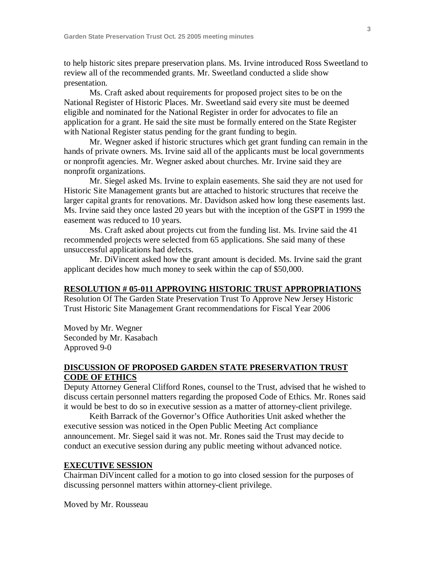to help historic sites prepare preservation plans. Ms. Irvine introduced Ross Sweetland to review all of the recommended grants. Mr. Sweetland conducted a slide show presentation.

Ms. Craft asked about requirements for proposed project sites to be on the National Register of Historic Places. Mr. Sweetland said every site must be deemed eligible and nominated for the National Register in order for advocates to file an application for a grant. He said the site must be formally entered on the State Register with National Register status pending for the grant funding to begin.

Mr. Wegner asked if historic structures which get grant funding can remain in the hands of private owners. Ms. Irvine said all of the applicants must be local governments or nonprofit agencies. Mr. Wegner asked about churches. Mr. Irvine said they are nonprofit organizations.

Mr. Siegel asked Ms. Irvine to explain easements. She said they are not used for Historic Site Management grants but are attached to historic structures that receive the larger capital grants for renovations. Mr. Davidson asked how long these easements last. Ms. Irvine said they once lasted 20 years but with the inception of the GSPT in 1999 the easement was reduced to 10 years.

Ms. Craft asked about projects cut from the funding list. Ms. Irvine said the 41 recommended projects were selected from 65 applications. She said many of these unsuccessful applications had defects.

Mr. DiVincent asked how the grant amount is decided. Ms. Irvine said the grant applicant decides how much money to seek within the cap of \$50,000.

#### **RESOLUTION # 05-011 APPROVING HISTORIC TRUST APPROPRIATIONS**

Resolution Of The Garden State Preservation Trust To Approve New Jersey Historic Trust Historic Site Management Grant recommendations for Fiscal Year 2006

Moved by Mr. Wegner Seconded by Mr. Kasabach Approved 9-0

## **DISCUSSION OF PROPOSED GARDEN STATE PRESERVATION TRUST CODE OF ETHICS**

Deputy Attorney General Clifford Rones, counsel to the Trust, advised that he wished to discuss certain personnel matters regarding the proposed Code of Ethics. Mr. Rones said it would be best to do so in executive session as a matter of attorney-client privilege.

Keith Barrack of the Governor's Office Authorities Unit asked whether the executive session was noticed in the Open Public Meeting Act compliance announcement. Mr. Siegel said it was not. Mr. Rones said the Trust may decide to conduct an executive session during any public meeting without advanced notice.

#### **EXECUTIVE SESSION**

Chairman DiVincent called for a motion to go into closed session for the purposes of discussing personnel matters within attorney-client privilege.

Moved by Mr. Rousseau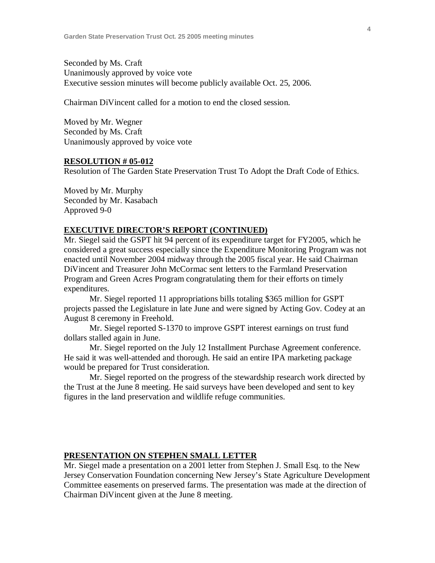Seconded by Ms. Craft Unanimously approved by voice vote Executive session minutes will become publicly available Oct. 25, 2006.

Chairman DiVincent called for a motion to end the closed session.

Moved by Mr. Wegner Seconded by Ms. Craft Unanimously approved by voice vote

#### **RESOLUTION # 05-012**

Resolution of The Garden State Preservation Trust To Adopt the Draft Code of Ethics.

Moved by Mr. Murphy Seconded by Mr. Kasabach Approved 9-0

## **EXECUTIVE DIRECTOR'S REPORT (CONTINUED)**

Mr. Siegel said the GSPT hit 94 percent of its expenditure target for FY2005, which he considered a great success especially since the Expenditure Monitoring Program was not enacted until November 2004 midway through the 2005 fiscal year. He said Chairman DiVincent and Treasurer John McCormac sent letters to the Farmland Preservation Program and Green Acres Program congratulating them for their efforts on timely expenditures.

Mr. Siegel reported 11 appropriations bills totaling \$365 million for GSPT projects passed the Legislature in late June and were signed by Acting Gov. Codey at an August 8 ceremony in Freehold.

Mr. Siegel reported S-1370 to improve GSPT interest earnings on trust fund dollars stalled again in June.

Mr. Siegel reported on the July 12 Installment Purchase Agreement conference. He said it was well-attended and thorough. He said an entire IPA marketing package would be prepared for Trust consideration.

Mr. Siegel reported on the progress of the stewardship research work directed by the Trust at the June 8 meeting. He said surveys have been developed and sent to key figures in the land preservation and wildlife refuge communities.

## **PRESENTATION ON STEPHEN SMALL LETTER**

Mr. Siegel made a presentation on a 2001 letter from Stephen J. Small Esq. to the New Jersey Conservation Foundation concerning New Jersey's State Agriculture Development Committee easements on preserved farms. The presentation was made at the direction of Chairman DiVincent given at the June 8 meeting.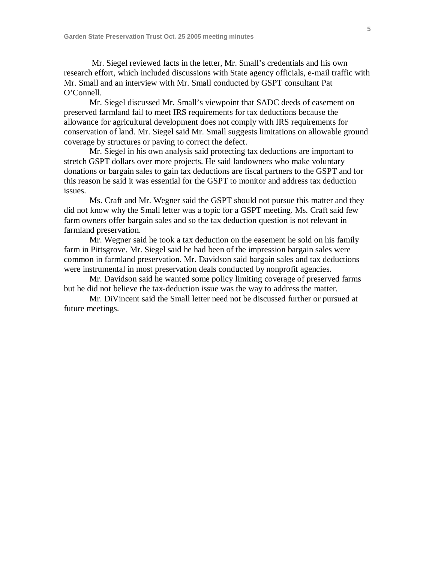Mr. Siegel reviewed facts in the letter, Mr. Small's credentials and his own research effort, which included discussions with State agency officials, e-mail traffic with Mr. Small and an interview with Mr. Small conducted by GSPT consultant Pat O'Connell.

Mr. Siegel discussed Mr. Small's viewpoint that SADC deeds of easement on preserved farmland fail to meet IRS requirements for tax deductions because the allowance for agricultural development does not comply with IRS requirements for conservation of land. Mr. Siegel said Mr. Small suggests limitations on allowable ground coverage by structures or paving to correct the defect.

Mr. Siegel in his own analysis said protecting tax deductions are important to stretch GSPT dollars over more projects. He said landowners who make voluntary donations or bargain sales to gain tax deductions are fiscal partners to the GSPT and for this reason he said it was essential for the GSPT to monitor and address tax deduction issues.

Ms. Craft and Mr. Wegner said the GSPT should not pursue this matter and they did not know why the Small letter was a topic for a GSPT meeting. Ms. Craft said few farm owners offer bargain sales and so the tax deduction question is not relevant in farmland preservation.

Mr. Wegner said he took a tax deduction on the easement he sold on his family farm in Pittsgrove. Mr. Siegel said he had been of the impression bargain sales were common in farmland preservation. Mr. Davidson said bargain sales and tax deductions were instrumental in most preservation deals conducted by nonprofit agencies.

Mr. Davidson said he wanted some policy limiting coverage of preserved farms but he did not believe the tax-deduction issue was the way to address the matter.

Mr. DiVincent said the Small letter need not be discussed further or pursued at future meetings.